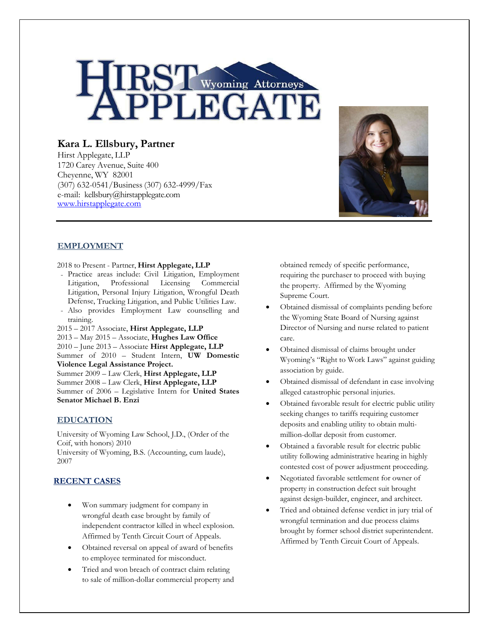

# **Kara L. Ellsbury, Partner**

Hirst Applegate, LLP 1720 Carey Avenue, Suite 400 Cheyenne, WY 82001 (307) 632-0541/Business(307) 632-4999/Fax e-mail: kellsbury@hirstapplegate.com www.hirstapplegate.com



# **EMPLOYMENT**

- 2018 to Present Partner, **Hirst Applegate, LLP**
- Practice areas include: Civil Litigation, Employment Litigation, Professional Licensing Commercial Litigation, Personal Injury Litigation, Wrongful Death Defense, Trucking Litigation, and Public Utilities Law.
- Also provides Employment Law counselling and training.
- 2015 2017 Associate, **Hirst Applegate, LLP** 2013 – May 2015 – Associate, **Hughes Law Office**  2010 – June 2013 – Associate **Hirst Applegate, LLP** Summer of 2010 – Student Intern, **UW Domestic Violence Legal Assistance Project.** Summer 2009 – Law Clerk, **Hirst Applegate, LLP** Summer 2008 – Law Clerk, **Hirst Applegate, LLP** Summer of 2006 – Legislative Intern for **United States Senator Michael B. Enzi**

## **EDUCATION**

University of Wyoming Law School, J.D., (Order of the Coif, with honors) 2010

University of Wyoming, B.S. (Accounting, cum laude), 2007

# **RECENT CASES**

- Won summary judgment for company in wrongful death case brought by family of independent contractor killed in wheel explosion. Affirmed by Tenth Circuit Court of Appeals.
- Obtained reversal on appeal of award of benefits to employee terminated for misconduct.
- Tried and won breach of contract claim relating to sale of million-dollar commercial property and

obtained remedy of specific performance, requiring the purchaser to proceed with buying the property. Affirmed by the Wyoming Supreme Court.

- Obtained dismissal of complaints pending before the Wyoming State Board of Nursing against Director of Nursing and nurse related to patient care.
- Obtained dismissal of claims brought under Wyoming's "Right to Work Laws" against guiding association by guide.
- Obtained dismissal of defendant in case involving alleged catastrophic personal injuries.
- Obtained favorable result for electric public utility seeking changes to tariffs requiring customer deposits and enabling utility to obtain multimillion-dollar deposit from customer.
- Obtained a favorable result for electric public utility following administrative hearing in highly contested cost of power adjustment proceeding.
- Negotiated favorable settlement for owner of property in construction defect suit brought against design-builder, engineer, and architect.
- Tried and obtained defense verdict in jury trial of wrongful termination and due process claims brought by former school district superintendent. Affirmed by Tenth Circuit Court of Appeals.